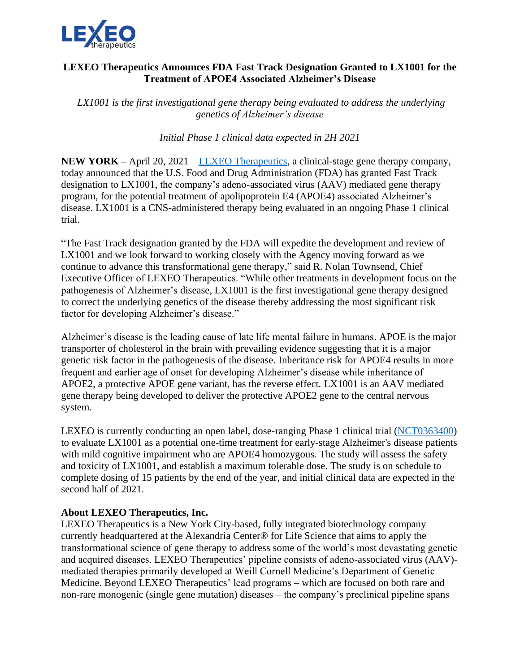

## **LEXEO Therapeutics Announces FDA Fast Track Designation Granted to LX1001 for the Treatment of APOE4 Associated Alzheimer's Disease**

*LX1001 is the first investigational gene therapy being evaluated to address the underlying genetics of Alzheimer's disease*

*Initial Phase 1 clinical data expected in 2H 2021*

**NEW YORK –** April 20, 2021 – [LEXEO Therapeutics,](https://www.lexeotx.com/) a clinical-stage gene therapy company, today announced that the U.S. Food and Drug Administration (FDA) has granted Fast Track designation to LX1001, the company's adeno-associated virus (AAV) mediated gene therapy program, for the potential treatment of apolipoprotein E4 (APOE4) associated Alzheimer's disease. LX1001 is a CNS-administered therapy being evaluated in an ongoing Phase 1 clinical trial.

"The Fast Track designation granted by the FDA will expedite the development and review of LX1001 and we look forward to working closely with the Agency moving forward as we continue to advance this transformational gene therapy," said R. Nolan Townsend, Chief Executive Officer of LEXEO Therapeutics. "While other treatments in development focus on the pathogenesis of Alzheimer's disease, LX1001 is the first investigational gene therapy designed to correct the underlying genetics of the disease thereby addressing the most significant risk factor for developing Alzheimer's disease."

Alzheimer's disease is the leading cause of late life mental failure in humans. APOE is the major transporter of cholesterol in the brain with prevailing evidence suggesting that it is a major genetic risk factor in the pathogenesis of the disease. Inheritance risk for APOE4 results in more frequent and earlier age of onset for developing Alzheimer's disease while inheritance of APOE2, a protective APOE gene variant, has the reverse effect. LX1001 is an AAV mediated gene therapy being developed to deliver the protective APOE2 gene to the central nervous system.

LEXEO is currently conducting an open label, dose-ranging Phase 1 clinical trial [\(NCT0363400\)](https://clinicaltrials.gov/ct2/show/NCT03634007?term=LX1001&draw=2&rank=1) to evaluate LX1001 as a potential one-time treatment for early-stage Alzheimer's disease patients with mild cognitive impairment who are APOE4 homozygous. The study will assess the safety and toxicity of LX1001, and establish a maximum tolerable dose. The study is on schedule to complete dosing of 15 patients by the end of the year, and initial clinical data are expected in the second half of 2021.

## **About LEXEO Therapeutics, Inc.**

LEXEO Therapeutics is a New York City-based, fully integrated biotechnology company currently headquartered at the Alexandria Center® for Life Science that aims to apply the transformational science of gene therapy to address some of the world's most devastating genetic and acquired diseases. LEXEO Therapeutics' pipeline consists of adeno-associated virus (AAV) mediated therapies primarily developed at Weill Cornell Medicine's Department of Genetic Medicine. Beyond LEXEO Therapeutics' lead programs – which are focused on both rare and non-rare monogenic (single gene mutation) diseases – the company's preclinical pipeline spans